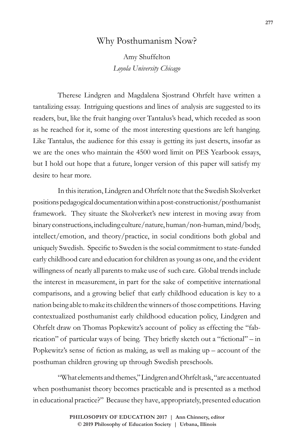## Why Posthumanism Now?

Amy Shuffelton *Loyola University Chicago*

Therese Lindgren and Magdalena Sjostrand Ohrfelt have written a tantalizing essay. Intriguing questions and lines of analysis are suggested to its readers, but, like the fruit hanging over Tantalus's head, which receded as soon as he reached for it, some of the most interesting questions are left hanging. Like Tantalus, the audience for this essay is getting its just deserts, insofar as we are the ones who maintain the 4500 word limit on PES Yearbook essays, but I hold out hope that a future, longer version of this paper will satisfy my desire to hear more.

In this iteration, Lindgren and Ohrfelt note that the Swedish Skolverket positions pedagogical documentation within a post-constructionist/posthumanist framework. They situate the Skolverket's new interest in moving away from binary constructions, including culture/nature, human/non-human, mind/body, intellect/emotion, and theory/practice, in social conditions both global and uniquely Swedish. Specific to Sweden is the social commitment to state-funded early childhood care and education for children as young as one, and the evident willingness of nearly all parents to make use of such care. Global trends include the interest in measurement, in part for the sake of competitive international comparisons, and a growing belief that early childhood education is key to a nation being able to make its children the winners of those competitions. Having contextualized posthumanist early childhood education policy, Lindgren and Ohrfelt draw on Thomas Popkewitz's account of policy as effecting the "fabrication" of particular ways of being. They briefly sketch out a "fictional" – in Popkewitz's sense of fiction as making, as well as making up – account of the posthuman children growing up through Swedish preschools.

"What elements and themes," Lindgren and Ohrfelt ask, "are accentuated when posthumanist theory becomes practicable and is presented as a method in educational practice?" Because they have, appropriately, presented education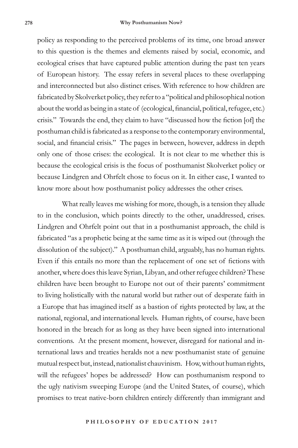policy as responding to the perceived problems of its time, one broad answer to this question is the themes and elements raised by social, economic, and ecological crises that have captured public attention during the past ten years of European history. The essay refers in several places to these overlapping and interconnected but also distinct crises. With reference to how children are fabricated by Skolverket policy, they refer to a "political and philosophical notion about the world as being in a state of (ecological, financial, political, refugee, etc.) crisis." Towards the end, they claim to have "discussed how the fiction [of] the posthuman child is fabricated as a response to the contemporary environmental, social, and financial crisis." The pages in between, however, address in depth only one of those crises: the ecological. It is not clear to me whether this is because the ecological crisis is the focus of posthumanist Skolverket policy or because Lindgren and Ohrfelt chose to focus on it. In either case, I wanted to know more about how posthumanist policy addresses the other crises.

What really leaves me wishing for more, though, is a tension they allude to in the conclusion, which points directly to the other, unaddressed, crises. Lindgren and Ohrfelt point out that in a posthumanist approach, the child is fabricated "as a prophetic being at the same time as it is wiped out (through the dissolution of the subject)." A posthuman child, arguably, has no human rights. Even if this entails no more than the replacement of one set of fictions with another, where does this leave Syrian, Libyan, and other refugee children? These children have been brought to Europe not out of their parents' commitment to living holistically with the natural world but rather out of desperate faith in a Europe that has imagined itself as a bastion of rights protected by law, at the national, regional, and international levels. Human rights, of course, have been honored in the breach for as long as they have been signed into international conventions. At the present moment, however, disregard for national and international laws and treaties heralds not a new posthumanist state of genuine mutual respect but, instead, nationalist chauvinism. How, without human rights, will the refugees' hopes be addressed? How can posthumanism respond to the ugly nativism sweeping Europe (and the United States, of course), which promises to treat native-born children entirely differently than immigrant and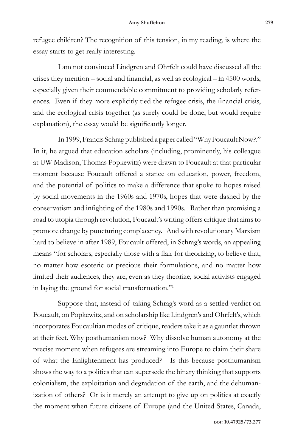refugee children? The recognition of this tension, in my reading, is where the essay starts to get really interesting.

I am not convinced Lindgren and Ohrfelt could have discussed all the crises they mention – social and financial, as well as ecological – in 4500 words, especially given their commendable commitment to providing scholarly references. Even if they more explicitly tied the refugee crisis, the financial crisis, and the ecological crisis together (as surely could be done, but would require explanation), the essay would be significantly longer.

In 1999, Francis Schrag published a paper called "Why Foucault Now?." In it, he argued that education scholars (including, prominently, his colleague at UW Madison, Thomas Popkewitz) were drawn to Foucault at that particular moment because Foucault offered a stance on education, power, freedom, and the potential of politics to make a difference that spoke to hopes raised by social movements in the 1960s and 1970s, hopes that were dashed by the conservatism and infighting of the 1980s and 1990s. Rather than promising a road to utopia through revolution, Foucault's writing offers critique that aims to promote change by puncturing complacency. And with revolutionary Marxism hard to believe in after 1989, Foucault offered, in Schrag's words, an appealing means "for scholars, especially those with a flair for theorizing, to believe that, no matter how esoteric or precious their formulations, and no matter how limited their audiences, they are, even as they theorize, social activists engaged in laying the ground for social transformation."1

Suppose that, instead of taking Schrag's word as a settled verdict on Foucault, on Popkewitz, and on scholarship like Lindgren's and Ohrfelt's, which incorporates Foucaultian modes of critique, readers take it as a gauntlet thrown at their feet. Why posthumanism now? Why dissolve human autonomy at the precise moment when refugees are streaming into Europe to claim their share of what the Enlightenment has produced? Is this because posthumanism shows the way to a politics that can supersede the binary thinking that supports colonialism, the exploitation and degradation of the earth, and the dehumanization of others? Or is it merely an attempt to give up on politics at exactly the moment when future citizens of Europe (and the United States, Canada,